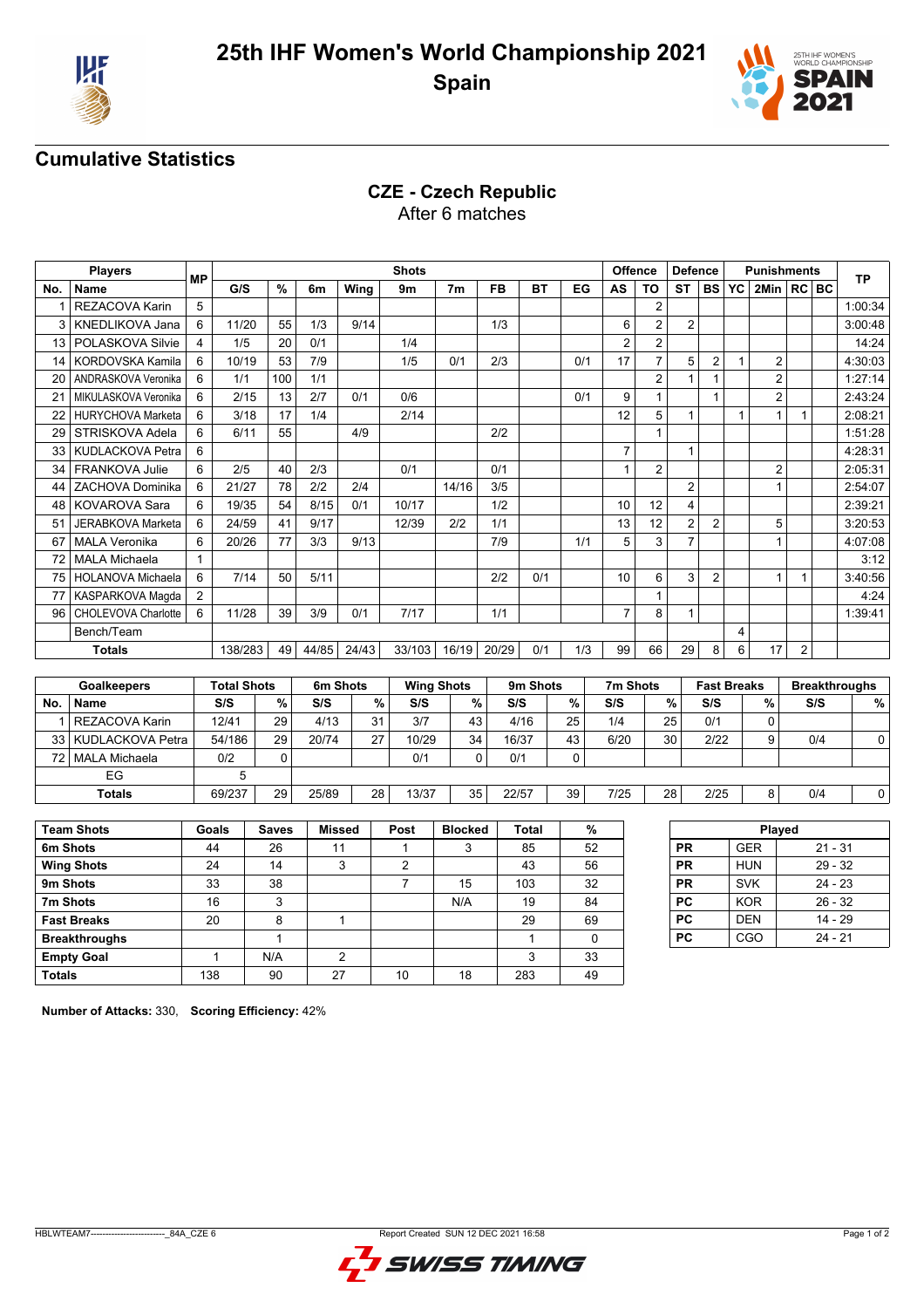



### **Cumulative Statistics**

## **CZE - Czech Republic**

After 6 matches

|     | <b>Players</b>           | <b>MP</b>      |         |      |       |       | <b>Shots</b> |                |           |           |     | <b>Offence</b> |                | <b>Defence</b> |                |           | <b>Punishments</b> |                | <b>TP</b> |
|-----|--------------------------|----------------|---------|------|-------|-------|--------------|----------------|-----------|-----------|-----|----------------|----------------|----------------|----------------|-----------|--------------------|----------------|-----------|
| No. | <b>Name</b>              |                | G/S     | $\%$ | 6m    | Wing  | 9m           | 7 <sub>m</sub> | <b>FB</b> | <b>BT</b> | EG  | AS             | <b>TO</b>      | <b>ST</b>      | <b>BS</b>      | <b>YC</b> | 2Min   RC BC       |                |           |
|     | REZACOVA Karin           | 5              |         |      |       |       |              |                |           |           |     |                | $\overline{2}$ |                |                |           |                    |                | 1:00:34   |
| 3   | <b>KNEDLIKOVA Jana</b>   | 6              | 11/20   | 55   | 1/3   | 9/14  |              |                | 1/3       |           |     | 6              | $\overline{2}$ | $\overline{2}$ |                |           |                    |                | 3:00:48   |
| 13  | POLASKOVA Silvie         | 4              | 1/5     | 20   | 0/1   |       | 1/4          |                |           |           |     | $\overline{2}$ | $\overline{2}$ |                |                |           |                    |                | 14:24     |
| 14  | KORDOVSKA Kamila         | 6              | 10/19   | 53   | 7/9   |       | 1/5          | 0/1            | 2/3       |           | 0/1 | 17             | 7              | 5              | 2              |           | 2                  |                | 4:30:03   |
| 20  | ANDRASKOVA Veronika      | 6              | 1/1     | 100  | 1/1   |       |              |                |           |           |     |                | $\overline{2}$ |                |                |           | $\overline{2}$     |                | 1:27:14   |
|     | MIKULASKOVA Veronika     | 6              | 2/15    | 13   | 2/7   | 0/1   | 0/6          |                |           |           | 0/1 | 9              |                |                |                |           | 2                  |                | 2:43:24   |
|     | <b>HURYCHOVA Marketa</b> | 6              | 3/18    | 17   | 1/4   |       | 2/14         |                |           |           |     | 12             | 5              | 1              |                |           | 1                  | 1              | 2:08:21   |
| 29  | STRISKOVA Adela          | 6              | 6/11    | 55   |       | 4/9   |              |                | 2/2       |           |     |                |                |                |                |           |                    |                | 1:51:28   |
| 33  | KUDLACKOVA Petra         | 6              |         |      |       |       |              |                |           |           |     | $\overline{7}$ |                |                |                |           |                    |                | 4:28:31   |
| 34  | <b>FRANKOVA Julie</b>    | 6              | 2/5     | 40   | 2/3   |       | 0/1          |                | 0/1       |           |     |                | $\overline{2}$ |                |                |           | 2                  |                | 2:05:31   |
| 44  | ZACHOVA Dominika         | 6              | 21/27   | 78   | 2/2   | 2/4   |              | 14/16          | 3/5       |           |     |                |                | $\overline{2}$ |                |           |                    |                | 2:54:07   |
| 48  | <b>KOVAROVA Sara</b>     | 6              | 19/35   | 54   | 8/15  | 0/1   | 10/17        |                | 1/2       |           |     | 10             | 12             | 4              |                |           |                    |                | 2:39:21   |
| 51  | <b>JERABKOVA Marketa</b> | 6              | 24/59   | 41   | 9/17  |       | 12/39        | 2/2            | 1/1       |           |     | 13             | 12             | $\overline{2}$ | 2              |           | 5                  |                | 3:20:53   |
| 67  | <b>MALA Veronika</b>     | 6              | 20/26   | 77   | 3/3   | 9/13  |              |                | 7/9       |           | 1/1 | 5              | 3              | $\overline{7}$ |                |           |                    |                | 4:07:08   |
| 72  | <b>MALA Michaela</b>     |                |         |      |       |       |              |                |           |           |     |                |                |                |                |           |                    |                | 3:12      |
| 75  | <b>HOLANOVA Michaela</b> | 6              | 7/14    | 50   | 5/11  |       |              |                | 2/2       | 0/1       |     | 10             | 6              | 3              | $\overline{2}$ |           | 1                  |                | 3:40:56   |
|     | KASPARKOVA Maqda         | $\overline{2}$ |         |      |       |       |              |                |           |           |     |                |                |                |                |           |                    |                | 4:24      |
| 96  | CHOLEVOVA Charlotte      | 6              | 11/28   | 39   | 3/9   | 0/1   | 7/17         |                | 1/1       |           |     |                | 8              | $\mathbf{1}$   |                |           |                    |                | 1:39:41   |
|     | Bench/Team               |                |         |      |       |       |              |                |           |           |     |                |                |                |                | 4         |                    |                |           |
|     | <b>Totals</b>            |                | 138/283 | 49   | 44/85 | 24/43 | 33/103       | 16/19          | 20/29     | 0/1       | 1/3 | 99             | 66             | 29             | 8              | 6         | 17                 | $\overline{2}$ |           |

|           | <b>Goalkeepers</b>    | <b>Total Shots</b> |    | 6m Shots |    | <b>Wing Shots</b> |    | 9 <sub>m</sub> Shots |    | 7m Shots |    | <b>Fast Breaks</b> |                | <b>Breakthroughs</b> |    |
|-----------|-----------------------|--------------------|----|----------|----|-------------------|----|----------------------|----|----------|----|--------------------|----------------|----------------------|----|
| <b>No</b> | Name                  | S/S                | %  | S/S      | %  | S/S               | %  | S/S                  | %  | S/S      | %  | S/S                | %              | S/S                  | %  |
|           | <b>REZACOVA Karin</b> | 12/41              | 29 | 4/13     | 31 | 3/7               | 43 | 4/16                 | 25 | 1/4      | 25 | 0/1                |                |                      |    |
|           | 33 KUDLACKOVA Petra   | 54/186             | 29 | 20/74    | דר | 10/29             | 34 | 16/37                | 43 | 6/20     | 30 | 2/22               | 9 <sub>1</sub> | 0/4                  | 0  |
|           | 72   MALA Michaela    | 0/2                |    |          |    | 0/1               |    | 0/1                  |    |          |    |                    |                |                      |    |
|           | EG                    |                    |    |          |    |                   |    |                      |    |          |    |                    |                |                      |    |
|           | <b>Totals</b>         | 69/237             | 29 | 25/89    | 28 | 13/37             | 35 | 22/57                | 39 | 7/25     | 28 | 2/25               | 8              | 0/4                  | 0١ |

| <b>Team Shots</b>    | Goals | <b>Saves</b> | <b>Missed</b> | Post | <b>Blocked</b> | <b>Total</b> | %  |
|----------------------|-------|--------------|---------------|------|----------------|--------------|----|
| 6m Shots             | 44    | 26           | 11            |      | 3              | 85           | 52 |
| <b>Wing Shots</b>    | 24    | 14           | 3             | 2    |                | 43           | 56 |
| 9m Shots             | 33    | 38           |               |      | 15             | 103          | 32 |
| 7m Shots             | 16    | 3            |               |      | N/A            | 19           | 84 |
| <b>Fast Breaks</b>   | 20    | 8            |               |      |                | 29           | 69 |
| <b>Breakthroughs</b> |       |              |               |      |                |              | 0  |
| <b>Empty Goal</b>    |       | N/A          | 2             |      |                | 3            | 33 |
| <b>Totals</b>        | 138   | 90           | 27            | 10   | 18             | 283          | 49 |

| Played<br><b>PR</b><br><b>GER</b> |  |  |  |  |  |  |  |  |
|-----------------------------------|--|--|--|--|--|--|--|--|
| $21 - 31$                         |  |  |  |  |  |  |  |  |
| $29 - 32$                         |  |  |  |  |  |  |  |  |
| $24 - 23$                         |  |  |  |  |  |  |  |  |
| $26 - 32$                         |  |  |  |  |  |  |  |  |
| $14 - 29$                         |  |  |  |  |  |  |  |  |
| 24 - 21                           |  |  |  |  |  |  |  |  |
|                                   |  |  |  |  |  |  |  |  |

**Number of Attacks:** 330, **Scoring Efficiency:** 42%